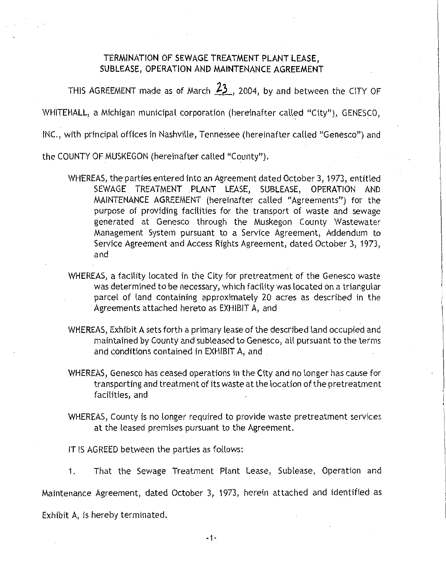## **TERMINATION OF SEWAGE TREATMENT PLANT LEASE, SUBLEASE, OPERATION AND MAINTENANCE AGREEMENT**

THIS AGREEMENT made as of March 23, 2004, by and between the CITY OF

WHITEHALL, a Michigan municipal corporation (hereinafter called "City"), GENESCO,

INC., with principal offices in Nashville, Tennessee (hereinafter called "Genesco") and

the COUNTY OF MUSKEGON (hereinafter called "County").

- WHEREAS, the parties entered into an Agreement dated October 3, 1973, entitled SEWAGE TREATMENT . PLANT LEASE, SUBLEASE, OPERATION AND MAINTENANCE AGREEMENT (hereinafter called "Agreements") for the purpose of providing facilities for the transport of waste and sewage generated at Genesco through the Muskegon County Wastewater Management System pursuant to a Service Agreement, Addendum to Service Agreement and Access Rights Agreement, dated October 3, 1973, and
- WHEREAS, a facility located in the City for pretreatment of the Genesco waste was determined to be necessary, which facility was located on a triangular parcel of land containing approximately 20 acres as described in the Agreements attached hereto as EXHIBIT A, and
- WHEREAS, Exhibit A sets forth a primary lease of the described land occupied and maintained by County and subleased to Genesco, all pursuant to the terms and conditions contained in EXHIBIT A, and .
- WHEREAS, Genesco has ceased operations in the City and no longer has cause for transporting and treatment of its waste at the location of the pretreatment .facilities, and
- WHEREAS, County is no longer required to provide waste pretreatment services at the leased premises pursuant to the Agreement.

IT IS AGREED between the parties as follows:

1. That the Sewage Treatment Plant Lease, Sublease, Operation and

Maintenance Agreement, dated October 3, 1973, herein attached and identified as

Exhibit A, is hereby terminated.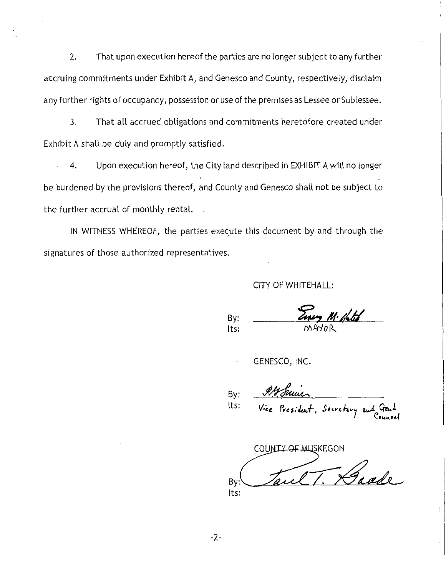2. That upon execution hereof the parties are no longer subject to any further accruing commitments under Exhibit A, and Genesco and County, respectively, disclaim any further rights of occupancy, possession or use of the premises as Lessee or Sublessee.

3. That all accrued obligations and commitments heretofore created under Exhibit A shall be duly and promptly satisfied.

4. Upon execution hereof, the City land described in EXHIBIT A will no longer be burdened by the provisions thereof, and County and Genesco shall not be subject to the further accrual of monthly rental.

IN WITNESS WHEREOF, the parties execute this document by and through the signatures of those authorized representatives.

## CITY OF WHITEHALL:

Einey M. Hotel By: Its:

GENESCO, INC.

By: Its:

COUNTY OF MUSKEGON  $By:$  Taul T. Daade Its: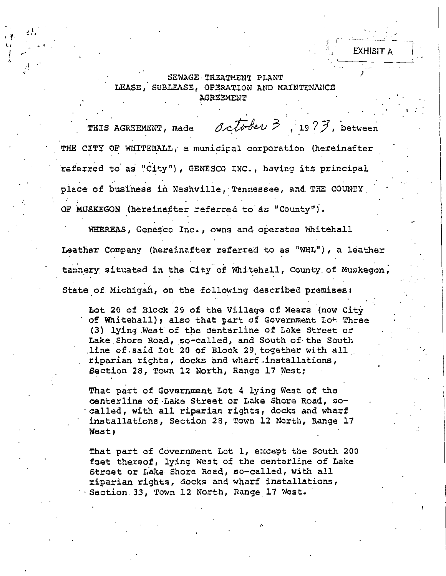## SEWAGE TREATMENT PLANT LEASE, SUBLEASE, OPERATION AND MAINTENANCE **AGREEMENT**

)

EXHIBIT A

i ! .

 $\frac{1}{2}$  ...

.! .,

'·' I,

> THIS AGREEMENT, made  $\partial c\overline{t}$   $\partial e\nu$   $\beta$ , 19  $?$  3, between THE CITY OF WHITEHALL, a municipal corporation (hereinafter referred to as "City"), GENESCO INC., having its principal place of business in Nashville, Tennessee, and THE COUNTY OF MuSKEGON (hereinafter referred to as "County").

WHEREAS, Genesco Inc., owns and operates Whitehall Leather Company (hereinafter referred to as "WHL"), a leather tannery situated in the City of Whitehall, County of Muskegon; State of Michigan, on the following described premises:

Lot 20 of Block 29 of the Village of Mears (now City of Whitehall); also that part of Government Lot Three (3) lying .West of the centerline of Lake Street or Lake Shore Road, so-called, and South of the South .line of.said Lot 20 of Block 29,together with all \_\_ riparian rights, docks and wharf installations, Section 28, Town 12 North, Range 17 West;

That part of Government Lot 4 lying West of the<br>centerline of Lake Street or Lake Shore Road, socalled, with all riparian rights, docks and wharf installations, Section 28, Town 12 North, Range 17 West;

That part of Government Lot 1, except the South 200 feet thereof, lying West of the centerline of Lake Street or Lake Shore Road, so-called, with all riparian rights, docks and wharf installations, Section. 33, Town 12 North, Range 17 West.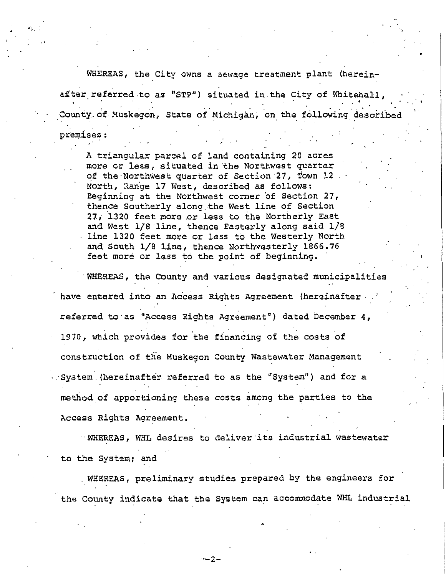WHEREAS, the City owns a sewage treatment plant (hereinafter referred to as "STP") situated in the City of Whitehall, County of Muskegon, State of Michigan, on the following described

. .

premises:

A triangular parcel of land containing 20 acres more or less, situated in the Northwest quarter of the Northwest quarter of Section 27, Town 12 North, Range 17 West, described as follows: Beginning at the Northwest corner of Section 27, thence Southerly along\_the West line of Section 27, 1320 feet more or less to the Northerly East and West 1/S"line, thence Easterly along said 1/8 line 1320 feet more or less to the Westerly North and South 1/8 line, thence Northwesterly 1866.76 feet more or less to the point of beginning.

WHEREAS, the County and various designated municipalities have entered into an Access Rights Agreement (hereinafter . referred to as "Access Rights Agreement") dated December 4, 1970, which provides for the financing of the costs of construction of the Muskegon County Wastewater Management . System (hereinafter referred to as the "System") and for a method of apportioning these costs among the parties to the Access Rights Agreement.

·WHEREAS, WHL desires to deliver·its industrial wastewater to the System; and

. WHEREAS, preliminary studies prepared by the engineers for the County indicate that the System can accommodate WHL industrial

·-2-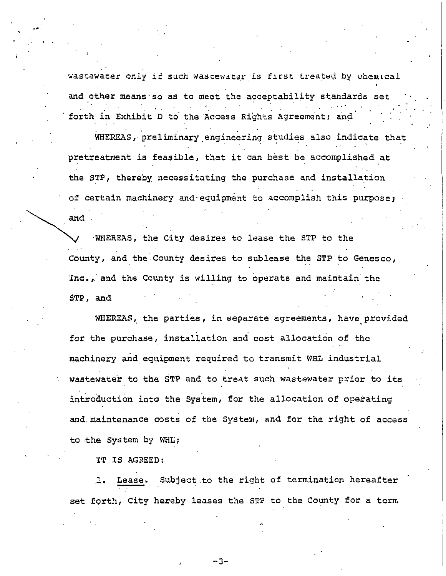wastewater only if such wastewater is first treated by chemical and other means so as to meet the acceptability standards set forth in Exhibit D to the Access Rights Agreement; and

WHEREAS, preliminary engineering studies also indicate that pretreatment is feasible, that it can best be accomplished at the STP, thereby necessitating the purchase and installation of certain machinery and equipment to accomplish this purpose; and

WHEREAS, the City desires to lease the STP to the County, and the County desires to sublease the STP to Genesco, Inc., and the County is willing to operate and maintain the  $STP$ , and

WHEREAS, the parties, in separate agreements, have provided for the purchase, installation and cost allocation of the machinery and equipment required to transmit WHL industrial wastewater to the STP and to treat such wastewater prior to its introduction into the System, for the allocation of operating and maintenance costs of the System, and for the right of access to the System by WHL;

IT IS AGREED:

Lease. Subject to the right of termination hereafter  $\mathbf{I}$ . set forth, City hereby leases the STP to the County for a term

-3-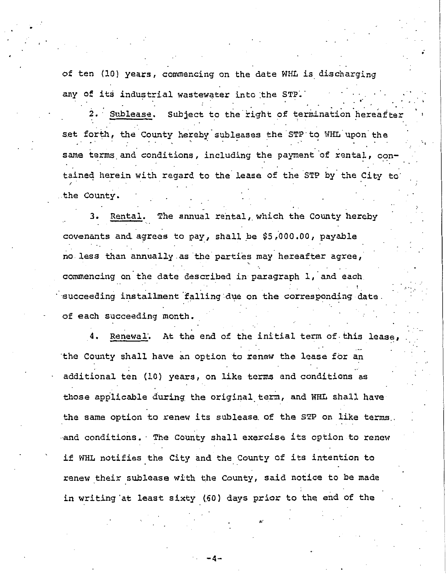of ten (10) years, commencing on the date WHL is discharging any of its industrial wastewater into the STP.

2. Sublease. Subject to the right of termination hereafte: set forth, the County hereby subleases the STP to WHL upon the same terms and conditions, including the payment of rental, contained herein with regard to the lease of the STP by the City to the County.

Rental. The annual rental, which the County hereby  $3.$ covenants and agrees to pay, shall be \$5,000.00, payable no less than annually as the parties may hereafter agree, commencing on the date described in paragraph 1, and each succeeding installment falling due on the corresponding date. of each succeeding month.

Renewal. At the end of the initial term of this lease the County shall have an option to renew the lease for an additional ten (10) years, on like terms and conditions as those applicable during the original term, and WHL shall have the same option to renew its sublease of the STP on like terms. and conditions. The County shall exercise its option to renew if WHL notifies the City and the County of its intention to renew their sublease with the County, said notice to be made in writing at least sixty (60) days prior to the end of the

-4-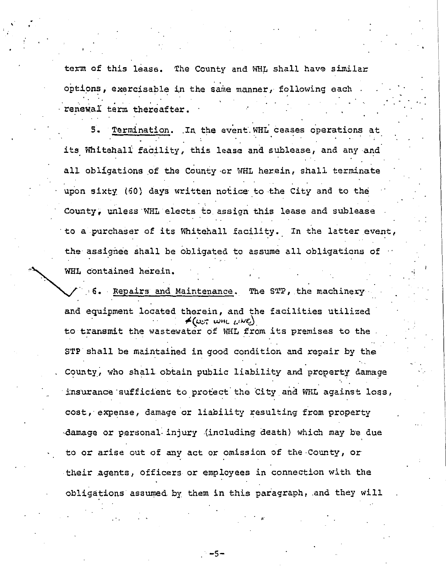term of this lease. The County and WHL shall have similar options, exercisable in the same manner, following each renewal term thereafter.

..

5. Termination. In the event WHL ceases operations at its Whitehall facility, this lease and sublease, and any and all obligations of the County or WHL herein, shall terminate upon sixty (60) days written notice to the City and to the County, unless·WHL elects to assign this lease and sublease to a purchaser of its Whitehall facility. In the latter event, the assignee shall be obligated to assume all obligations of WEL contained herein.

6. Repairs and Maintenance. The STP, the machinery and equipment located therein, and the facilities utilized  $f(\omega, \omega)$ to transmit the wastewater of WHL from its premises to the STP shall be maintained in good condition and repair by the County, who shall obtain public liability and property damage insurance sufficient to protect the City and WHL against loss, cost, expense, damage or liability resulting from property damage or personal injury (including death) which may be due to or arise out of any act or omission of the-County, or their agents, officers or employees in connection with the obligations assumed by them in this paragraph, and they will

 $-5-$ 

, ..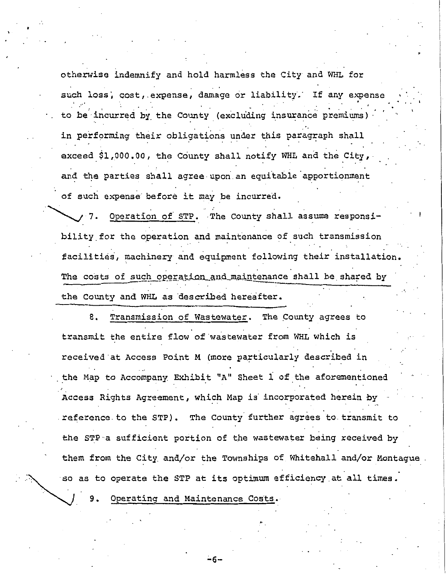otherwise indemnify and hold harmless the City and WHL for such loss, cost, expense, damage or liability. If any expense to be incurred by the County (excluding insurance premiums) in performing their obligations under this paragraph shall exceed \$1,000.00, the County shall notify WHL and the City, and the parties shall agree upon an equitable apportionment of such expense· before it may be incurred.

Operation of STP. The County shall assume responsibility for the operation and maintenance of such transmission facilities, machinery and equipment following their installation. The costs of such operation and maintenance shall be shared by the County and WHL as described hereafter.

8. Transmission of Wastewater. The County agrees to transmit the entire flow of wastewater from WHL which is received at Access Point M (more particularly described in the Map to Accompany Exhibit "A" Sheet 1 of the aforementioned Access Rights Agreement, which Map is incorporated herein by reference.to the STP). The County further agrees to transmit to the STP a sufficient portion of the wastewater being received by them from the City and/or the Townships of Whitehall and/or Montague so as to operate the STP at its optimum efficiency at all times.

Operating and Maintenance Costs.

;.6-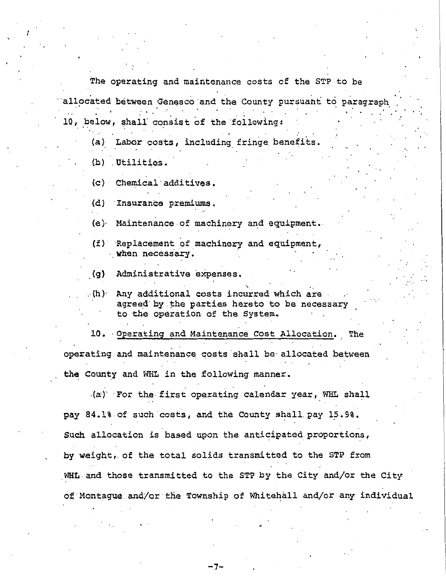The operating and maintenance costs of the STP to be allocated between Genesco and the County pursuant to paragraph 10, below, shall consist of the following:

• 0 *:* 

(a) Labor costs, including fringe benefits.

(b) Utilities.

I

(c) Chemical·additives.

(d) Insurance premiums.

(e)· Maintenance.of machinery and equipment.

- (f) Replacement of machinery and equipment, when necessary.
- (g) Administrative expenses.
- $\cdot$  (h) Any additional costs incurred which are agreed·by.the parties hereto to be necessary to the operation of the System.

10. ·Operating and Maintenance Cost Allocation. The operating and maintenance costs shall be allocated between the County and WHL in the following manner.

. (a·)"- For the· first operating calendar year, WHL shall pay 84.l%.of such costs, and the County shall pay 15.9%. Such allocation is based upon the anticipated proportions, by weight,.of the total solids transmitted to the STP from .WHL and those transmitted to the STP by the City and/or the City of Montague and/or the Township of Whitehall and/or any individual

-7-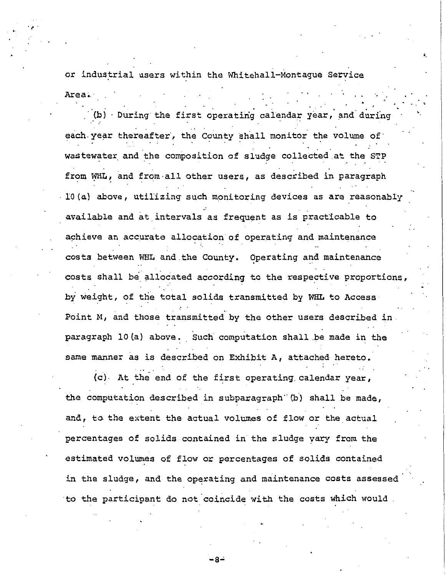or industrial users within the Whitehall-Montague Service Area;.· ·. . . ' •.

(b) During the first operating calendar year, and during each year thereafter, the County shall monitor the volume of wastewater and the composition of sludge collected at the STP from WHL, and from all other users, as described in paragraph IO(a) above, utilizing such monitoring devices as are reasonably available and at intervals as frequent as is practicable to achieve an accurate allocation of operating and maintenance costs between WHL and the County. Operating and maintenance costs shall be allocated according to the respective proportions, by weight, of the total solids transmitted by WHL to Access Point M, and those transmitted by the other users described in . . paragraph 10(a) above. Such computation shall be made in the same manner as is described on Exhibit A, attached hereto.

(c). At the end of the first operating. calendar year, the computation described in subparagraph" (b) shall be made, and, to the extent the actual volumes of flow or the actual percentages of solids contained in the sludge vary from the estimated volumes of flow or percentages of solids contained in the sludge, and the operating and maintenance costs assessed to the participant do not coincide with the costs which would

"

-S-'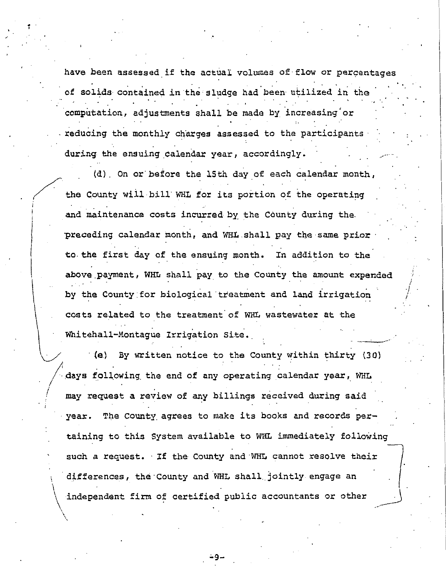have been assessed if the actual volumes of flow or percentages of solids contained in the sludge had been utilized in the computation, adjustments shall be made by increasing or reducing the monthly charges assessed to the participants during the ensuing calendar year, accordingly.

.

;

(

 $\mathbf{I}$ 

I *i* 

\

 $\begin{array}{c}\n\hline\n\end{array}$ 

• .

the County will bill WHL for its portion of the operating (d). On or·before the 15th day of each calendar month, and maintenance costs incurred by the County during the. preceding calendar month, and WHL shall pay the same prior to. the first day of the ensuing month. In addition to the above. payment, WHL shall pay to the County the amount expended by the County for biological treatment and land irrigation costs related to the treatment' of WHL wastewater at the Whitehall-Montague Irrigation Site.

*i*  I

'

· (e) By written notice to the County within thirty (30)  $\sqrt{ }$  days following the end of any operating calendar year, WHL may request a review of any billings received during said year. The County agrees to make its books and records pertaining to this System available to WHL immediately following such a request. If the County and WHL cannot resolve their differences, the County and WHL shall jointly engage an independent firm of certified public accountants or other  $\bigg/$ 

.:.g-

 $\sum_{i=1}^n\alpha_i\cdot\alpha_i=0$  . The contract of the contract of the contract of the contract of the contract of the contract of the contract of the contract of the contract of the contract of the contract of the contract of the c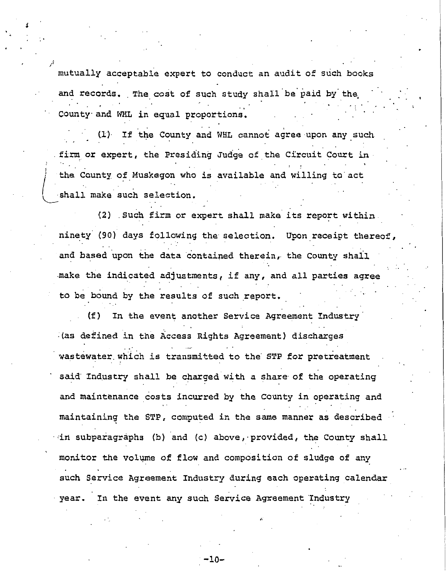mutually acceptable expert to conduct an audit of such books and records. The cost of such study shall be paid by the .<br>County and WHL in equal proportions.

..

*:i* 

 $\left(\begin{array}{c} 1 \ 1 \end{array}\right)$ 

(l) If the County and WHL cannot agree upon any such firm or expert, the Presiding Judge of the Circuit Court in<br>
the County of Muskegon who is available and willing to act shall make such selection. the County of Muskegon who is available and willing to act

(2) . Such firm or expert shall make its report within ninety (90) days following the selection. Upon receipt thereof, and based upon the data contained therein, the County shall make the indicated adjustments, if any, and all parties agree to be bound by the results of such report.

(f) In the event another Service Agreement Industry· (as defined in the Access Rights Agreement) discharges wastewater which is transmitted to the STP for pretreatment said Industry shall be charged with a share of the operating and maintenance costs incurred by the County in operating and maintaining the STP, computed in the same manner as described in subparagraphs (b) and (c) above, provided, the County shall monitor the volume of flow and composition of sludge of any such Service Agreement Industry during each operating calendar year. In the event any such Service Agreement Industry

. -10-

,,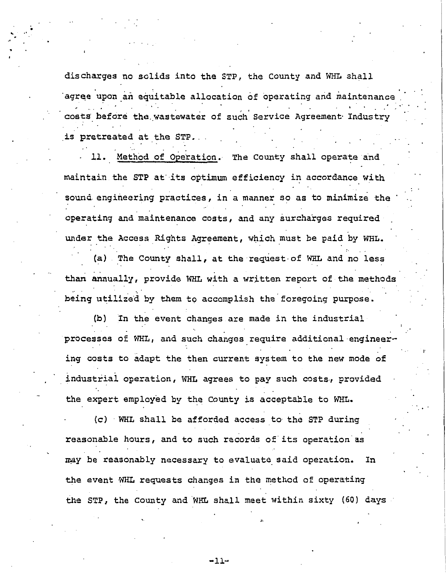discharges no solids into the STP, the County and WHL *shall*  agree upon an equitable allocation of operating and maintenance costs before the wastewater of such Service Agreement Industry is pretreated at the STP.

 $\frac{1}{2}$  .

,.

. .

11. Method of Operation. The County shall operate and maintain the STP at· its optimum efficiency in accordance with sound engineering practices, in a manner so as to minimize the operating and maintenance costs, and any surcharges required under the Access Rights Agreement, which must be paid by WHL.

(a) .The County shall, at the request· of WHL and no less than annually, provide WHL with a written report of the methods being utilized by them to accomplish the foregoing purpose.

(b) In the event changes are made in the industrial processes of WHL, and such changes require additional·engineering costs to adapt the then current system to the new mode of industrial operation, WHL agrees to pay such costs, provided the expert employed by the County is acceptable to WHL.

(c) · WHL shall be afforded access to· the STP during reasonable hours, and to such records of its operation as may be reasonably necessary to evaluate said operation. In the event WHL requests changes in the method of operating the STP, the County and WHL shall meet within sixty (60) days

,,

-11-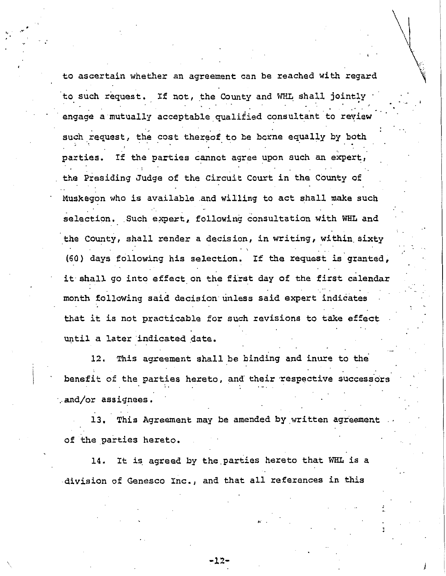to ascertain whether an agreement can be reached with regard to such request. If not, the County and WHL shall jointly engage a mutually acceptable qualified consultant to review such request, the cost thereof to be borne equally by both parties. If the parties cannot agree upon such an expert, the Presiding Judge of the Circuit Court in the County of Muskegon who is available and willing to act shall make such selection. Such expert, following consultation with WHL and the county, shall render a decision, in writing, within. sixty (60) days following his selection. If the request is granted, it shall go into effect on the first day of the first calendar . ·-. month following said decision unless said expert indicates that it is not practicable for such revisions to take effect until a later indicated date.

 $\setminus$ 

J

t, . -··

12. This agreement shall be binding and inure to the. benefit of the parties hereto, and their respective successors  $\cdot$  and/or assignees.

13. This Agreement may be amended by written agreement of the parties hereto.

14. It is agreed by the parties hereto that WHL is a division of Genesco Inc., and that all references in this

-12-

,,